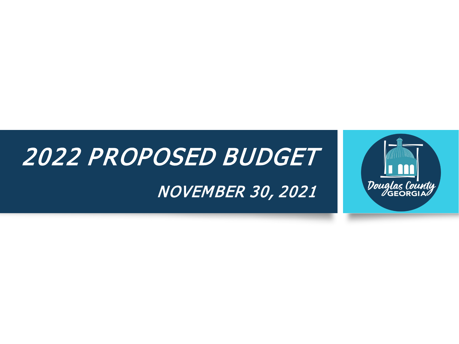# 2022 PROPOSED BUDGET NOVEMBER 30, 2021

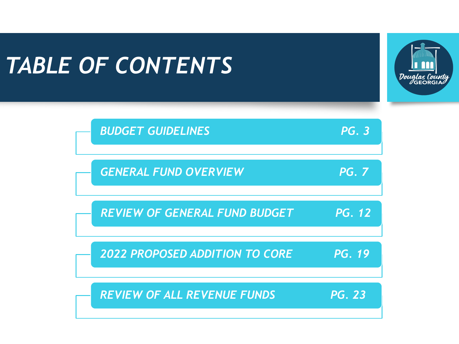# *TABLE OF CONTENTS*



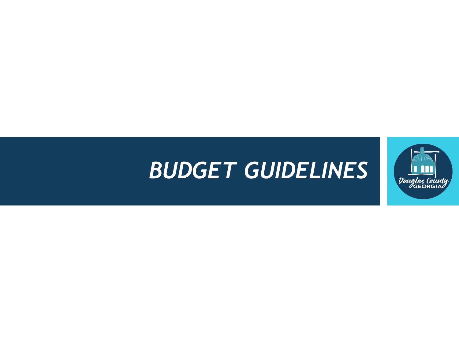# *BUDGET GUIDELINES*

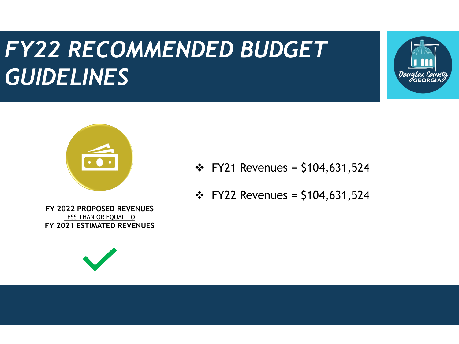# *FY22 RECOMMENDED BUDGET FY22 RECOMMENDED BUDGET GUIDELINES GUIDELINES*





- $\div$  FY21 Revenues = \$104,631,524
- $\div$  FY22 Revenues = \$104,631,524

**FY 2022 PROPOSED REVENUES** LESS THAN OR EQUAL TO **FY 2021 ESTIMATED REVENUES**

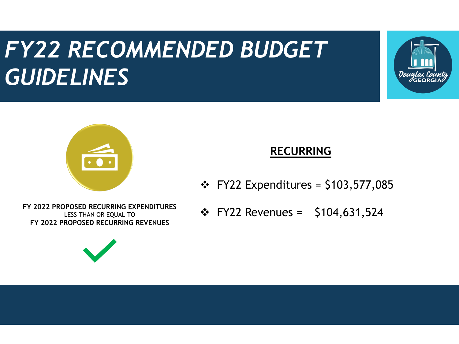# *FY22 RECOMMENDED BUDGET FY22 RECOMMENDED BUDGET GUIDELINES GUIDELINES*





### **RECURRING**

 $\div$  FY22 Expenditures = \$103,577,085

LESS THAN OR EQUAL TO **FY 2022 PROPOSED RECURRING REVENUES**



FY 2022 PROPOSED RECURRING EXPENDITURES<br>LESS THAN OR EQUAL TO **FROM SECURE 1**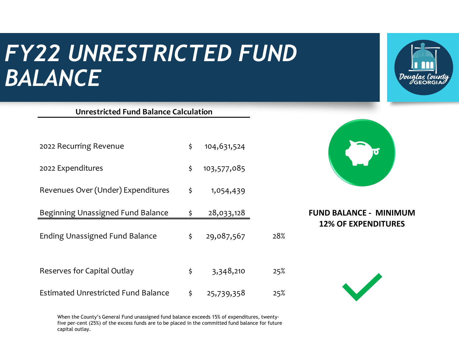## *FY22 UNRESTRICTED FUND BALANCE*

**Unrestricted Fund Balance Calculation**



| On esti icted I drid Dalance Calculation   |                   |     |                               |
|--------------------------------------------|-------------------|-----|-------------------------------|
| 2022 Recurring Revenue                     | \$<br>104,631,524 |     |                               |
| 2022 Expenditures                          | \$<br>103,577,085 |     |                               |
| Revenues Over (Under) Expenditures         | \$<br>1,054,439   |     |                               |
| Beginning Unassigned Fund Balance          | \$<br>28,033,128  |     | <b>FUND BALANCE - MINIMUM</b> |
| <b>Ending Unassigned Fund Balance</b>      | \$<br>29,087,567  | 28% | <b>12% OF EXPENDITURES</b>    |
| Reserves for Capital Outlay                | \$<br>3,348,210   | 25% |                               |
| <b>Estimated Unrestricted Fund Balance</b> | \$<br>25,739,358  | 25% |                               |

When the County's General Fund unassigned fund balance exceeds 15% of expenditures, twentyfive per-cent (25%) of the excess funds are to be placed in the committed fund balance for future capital outlay.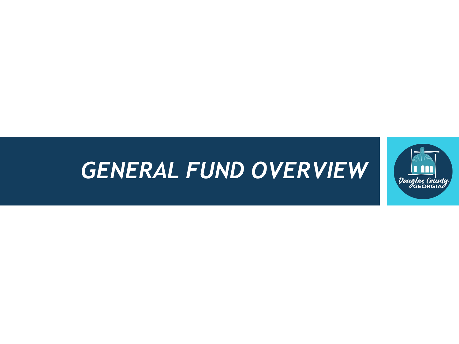# *GENERAL FUND OVERVIEW*

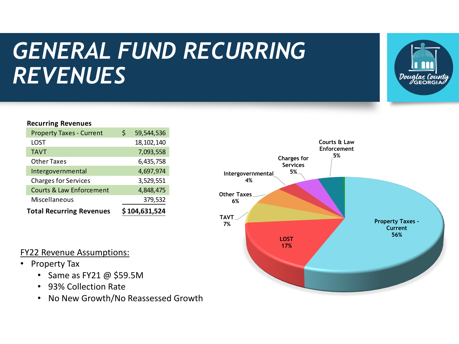# *GENERAL FUND RECURRING REVENUES*



#### **Recurring Revenues**

| <b>Property Taxes - Current</b>     | Ś | 59,544,536    |
|-------------------------------------|---|---------------|
| LOST                                |   | 18, 102, 140  |
| <b>TAVT</b>                         |   | 7,093,558     |
| <b>Other Taxes</b>                  |   | 6,435,758     |
| Intergovernmental                   |   | 4,697,974     |
| <b>Charges for Services</b>         |   | 3,529,551     |
| <b>Courts &amp; Law Enforcement</b> |   | 4,848,475     |
| Miscellaneous                       |   | 379,532       |
| <b>Total Recurring Revenues</b>     |   | \$104,631,524 |



- Property Tax
	- Same as FY21 @ \$59.5M
	- 93% Collection Rate
	- No New Growth/No Reassessed Growth

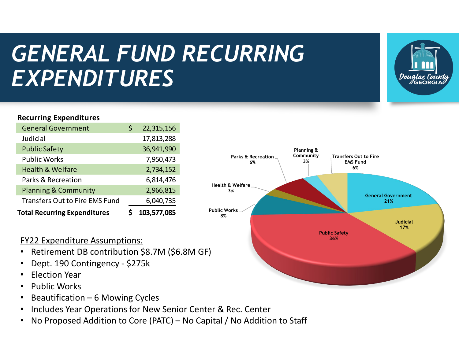# *GENERAL FUND RECURRING EXPENDITURES*



### **Recurring Expenditures**

| <b>Total Recurring Expenditures</b>   | 103,577,085      |
|---------------------------------------|------------------|
| <b>Transfers Out to Fire EMS Fund</b> | 6,040,735        |
| <b>Planning &amp; Community</b>       | 2,966,815        |
| Parks & Recreation                    | 6,814,476        |
| <b>Health &amp; Welfare</b>           | 2,734,152        |
| <b>Public Works</b>                   | 7,950,473        |
| <b>Public Safety</b>                  | 36,941,990       |
| Judicial                              | 17,813,288       |
| <b>General Government</b>             | \$<br>22,315,156 |

### FY22 Expenditure Assumptions:

- Retirement DB contribution \$8.7M (\$6.8M GF)
- Dept. 190 Contingency \$275k
- Election Year
- Public Works
- Beautification 6 Mowing Cycles
- Includes Year Operations for New Senior Center & Rec. Center
- No Proposed Addition to Core (PATC) No Capital / No Addition to Staff

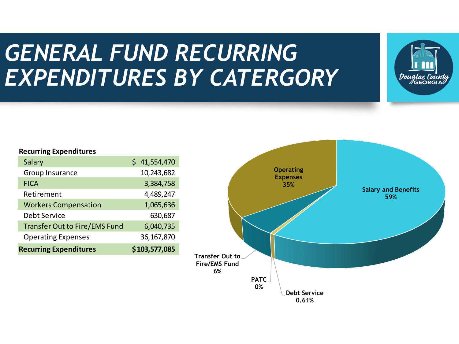### *GENERAL FUND RECURRING EXPENDITURES BY CATERGORY*



#### **Recurring Expenditures**

| Salary                               | 41,554,470    |
|--------------------------------------|---------------|
| Group Insurance                      | 10,243,682    |
| <b>FICA</b>                          | 3,384,758     |
| Retirement                           | 4,489,247     |
| <b>Workers Compensation</b>          | 1,065,636     |
| Debt Service                         | 630,687       |
| <b>Transfer Out to Fire/EMS Fund</b> | 6,040,735     |
| <b>Operating Expenses</b>            | 36, 167, 870  |
| <b>Recurring Expenditures</b>        | \$103,577,085 |

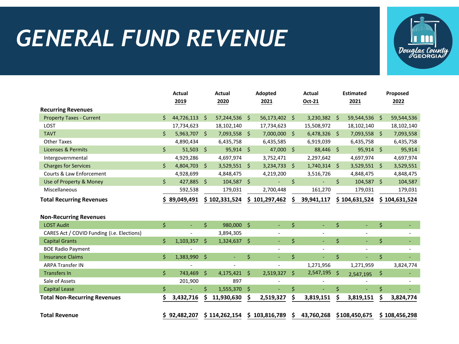# *GENERAL FUND REVENUE*



|                                            |    | <b>Actual</b><br>2019 |                     | <b>Actual</b><br>2020 |         |               | Adopted<br><b>Actual</b><br>Oct-21<br>2021 |                |                    | <b>Estimated</b><br>2021 | Proposed<br>2022 |               |  |
|--------------------------------------------|----|-----------------------|---------------------|-----------------------|---------|---------------|--------------------------------------------|----------------|--------------------|--------------------------|------------------|---------------|--|
| <b>Recurring Revenues</b>                  |    |                       |                     |                       |         |               |                                            |                |                    |                          |                  |               |  |
| <b>Property Taxes - Current</b>            | Ś  | 44,726,113 \$         |                     | 57,244,536            | Ŝ.      | 56,173,402 \$ |                                            | $3,230,382$ \$ |                    | 59,544,536               | S.               | 59,544,536    |  |
| LOST                                       |    | 17,734,623            |                     | 18,102,140            |         | 17,734,623    |                                            | 15,508,972     |                    | 18,102,140               |                  | 18,102,140    |  |
| <b>TAVT</b>                                | \$ | 5,963,707 \$          |                     | 7,093,558             | \$      | 7,000,000 \$  |                                            | $6,478,326$ \$ |                    | 7,093,558 \$             |                  | 7,093,558     |  |
| <b>Other Taxes</b>                         |    | 4,890,434             |                     | 6,435,758             |         | 6,435,585     |                                            | 6,919,039      |                    | 6,435,758                |                  | 6,435,758     |  |
| <b>Licenses &amp; Permits</b>              | \$ | $51,503$ \$           |                     | 95,914                | Ŝ.      | 47,000 \$     |                                            | 88,446 \$      |                    | $95,914$ \$              |                  | 95,914        |  |
| Intergovernmental                          |    | 4,929,286             |                     | 4,697,974             |         | 3,752,471     |                                            | 2,297,642      |                    | 4,697,974                |                  | 4,697,974     |  |
| <b>Charges for Services</b>                | \$ | 4,804,703 \$          |                     | $3,529,551$ \$        |         | 3,234,733     | \$                                         | $1,740,314$ \$ |                    | $3,529,551$ \$           |                  | 3,529,551     |  |
| Courts & Law Enforcement                   |    | 4,928,699             |                     | 4,848,475             |         | 4,219,200     |                                            | 3,516,726      |                    | 4,848,475                |                  | 4,848,475     |  |
| Use of Property & Money                    | \$ | 427,885 \$            |                     | 104,587 \$            |         | ÷,            | \$                                         |                | \$                 | 104,587 \$               |                  | 104,587       |  |
| Miscellaneous                              |    | 592,538               |                     | 179,031               |         | 2,700,448     |                                            | 161,270        |                    | 179,031                  |                  | 179,031       |  |
| <b>Total Recurring Revenues</b>            |    | 89,049,491            |                     | \$102,331,524         |         | \$101,297,462 |                                            | 39,941,117     |                    | \$104,631,524            |                  | \$104,631,524 |  |
| <b>Non-Recurring Revenues</b>              |    |                       |                     |                       |         |               |                                            |                |                    |                          |                  |               |  |
| <b>LOST Audit</b>                          | \$ | $\blacksquare$        | \$                  | 980,000               | $\zeta$ | ÷.            | \$                                         | $\omega$ .     | \$                 | $\omega$                 | \$               |               |  |
| CARES Act / COVID Funding (i.e. Elections) |    |                       |                     | 3,894,305             |         |               |                                            |                |                    |                          |                  |               |  |
| <b>Capital Grants</b>                      | Ś. | $1,103,357$ \$        |                     | 1,324,637             | Ŝ.      |               | \$                                         | $\omega$       | $\mathsf{\dot{S}}$ | ÷.                       | \$               |               |  |
| <b>BOE Radio Payment</b>                   |    |                       |                     |                       |         | $\sim$        |                                            | $\sim$         |                    | $\blacksquare$           |                  |               |  |
| <b>Insurance Claims</b>                    | \$ | 1,383,990             | $\ddot{\mathsf{s}}$ | ä,                    | \$      |               | \$                                         |                | $\zeta$            |                          | \$               |               |  |
| <b>ARPA Transfer IN</b>                    |    |                       |                     |                       |         |               |                                            | 1,271,956      |                    | 1,271,959                |                  | 3,824,774     |  |
| <b>Transfers In</b>                        | \$ | 743,469               | -\$                 | 4,175,421             | \$      | 2,519,327     | \$                                         | 2,547,195 \$   |                    | 2,547,195                | \$               |               |  |
| Sale of Assets                             |    | 201,900               |                     | 897                   |         |               |                                            |                |                    |                          |                  |               |  |
| <b>Capital Lease</b>                       | \$ |                       | \$                  | 1,555,370             | \$      | ä,            | \$                                         |                | \$                 |                          | \$               |               |  |
| <b>Total Non-Recurring Revenues</b>        |    | 3,432,716             |                     | 11,930,630            | \$      | 2,519,327     | \$                                         | 3,819,151      | \$                 | 3,819,151                | \$               | 3,824,774     |  |
| <b>Total Revenue</b>                       |    | \$92.482.207          |                     | \$114,262,154         |         | \$103,816,789 | \$                                         | 43,760,268     |                    | \$108,450,675            |                  | \$108,456,298 |  |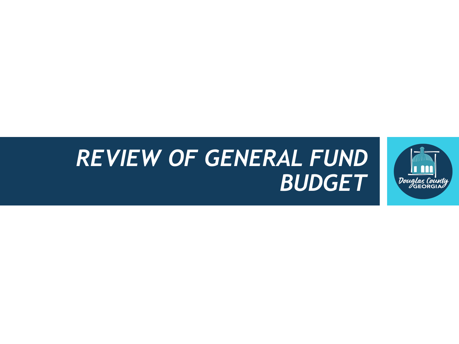### *REVIEW OF GENERAL FUND BUDGET*

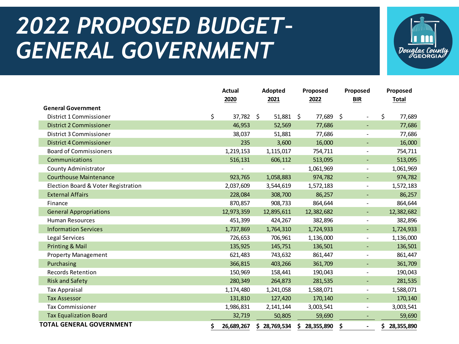# *2022 PROPOSED BUDGET– GENERAL GOVERNMENT*



|                                     | <b>Actual</b><br>2020 | Adopted<br>2021 |     | Proposed<br>2022 |     | Proposed<br><b>BIR</b>   |    | Proposed<br>Total |
|-------------------------------------|-----------------------|-----------------|-----|------------------|-----|--------------------------|----|-------------------|
| <b>General Government</b>           |                       |                 |     |                  |     |                          |    |                   |
| District 1 Commissioner             | \$<br>37,782 \$       | 51,881          | -\$ | 77,689           | -\$ |                          | Ś. | 77,689            |
| <b>District 2 Commissioner</b>      | 46,953                | 52,569          |     | 77,686           |     | ٠                        |    | 77,686            |
| District 3 Commissioner             | 38,037                | 51,881          |     | 77,686           |     |                          |    | 77,686            |
| <b>District 4 Commissioner</b>      | 235                   | 3,600           |     | 16,000           |     |                          |    | 16,000            |
| <b>Board of Commissioners</b>       | 1,219,153             | 1,115,017       |     | 754,711          |     | $\overline{\phantom{a}}$ |    | 754,711           |
| Communications                      | 516,131               | 606,112         |     | 513,095          |     | $\blacksquare$           |    | 513,095           |
| <b>County Administrator</b>         |                       |                 |     | 1,061,969        |     | $\overline{\phantom{a}}$ |    | 1,061,969         |
| <b>Courthouse Maintenance</b>       | 923,765               | 1,058,883       |     | 974,782          |     | $\blacksquare$           |    | 974,782           |
| Election Board & Voter Registration | 2,037,609             | 3,544,619       |     | 1,572,183        |     | $\overline{\phantom{a}}$ |    | 1,572,183         |
| <b>External Affairs</b>             | 228,084               | 308,700         |     | 86,257           |     | ٠                        |    | 86,257            |
| Finance                             | 870,857               | 908,733         |     | 864,644          |     | $\overline{\phantom{a}}$ |    | 864,644           |
| <b>General Appropriations</b>       | 12,973,359            | 12,895,611      |     | 12,382,682       |     | $\blacksquare$           |    | 12,382,682        |
| <b>Human Resources</b>              | 451,399               | 424,267         |     | 382,896          |     | $\overline{\phantom{a}}$ |    | 382,896           |
| <b>Information Services</b>         | 1,737,869             | 1,764,310       |     | 1,724,933        |     | ٠                        |    | 1,724,933         |
| Legal Services                      | 726,653               | 706,961         |     | 1,136,000        |     | $\overline{\phantom{a}}$ |    | 1,136,000         |
| Printing & Mail                     | 135,925               | 145,751         |     | 136,501          |     | $\blacksquare$           |    | 136,501           |
| <b>Property Management</b>          | 621,483               | 743,632         |     | 861,447          |     | $\overline{\phantom{a}}$ |    | 861,447           |
| Purchasing                          | 366,815               | 403,266         |     | 361,709          |     | $\blacksquare$           |    | 361,709           |
| <b>Records Retention</b>            | 150,969               | 158,441         |     | 190,043          |     | $\overline{\phantom{a}}$ |    | 190,043           |
| <b>Risk and Safety</b>              | 280,349               | 264,873         |     | 281,535          |     | $\blacksquare$           |    | 281,535           |
| <b>Tax Appraisal</b>                | 1,174,480             | 1,241,058       |     | 1,588,071        |     | $\overline{\phantom{a}}$ |    | 1,588,071         |
| <b>Tax Assessor</b>                 | 131,810               | 127,420         |     | 170,140          |     |                          |    | 170,140           |
| <b>Tax Commissioner</b>             | 1,986,831             | 2, 141, 144     |     | 3,003,541        |     | $\overline{\phantom{a}}$ |    | 3,003,541         |
| <b>Tax Equalization Board</b>       | 32,719                | 50,805          |     | 59,690           |     |                          |    | 59,690            |
| <b>TOTAL GENERAL GOVERNMENT</b>     | \$<br>26,689,267      | \$28,769,534    | \$. | 28,355,890       | \$  | $\overline{a}$           | S. | 28,355,890        |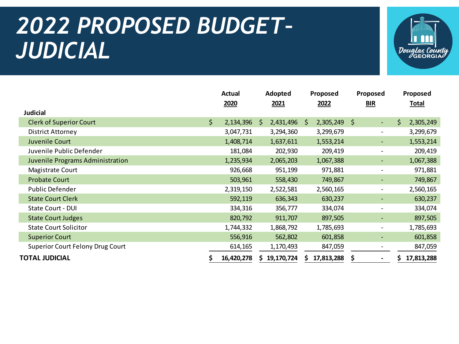# *2022 PROPOSED BUDGET– JUDICIAL*



|                                         |     | Adopted<br><b>Actual</b> |    |            | Proposed     |            | Proposed |                          | Proposed |              |
|-----------------------------------------|-----|--------------------------|----|------------|--------------|------------|----------|--------------------------|----------|--------------|
|                                         |     | 2020                     |    | 2021       |              | 2022       | BIR      |                          |          | <b>Total</b> |
| <b>Judicial</b>                         |     |                          |    |            |              |            |          |                          |          |              |
| <b>Clerk of Superior Court</b>          | \$. | 2,134,396                | -S | 2,431,496  | <sub>S</sub> | 2,305,249  | $\zeta$  | ٠                        | \$       | 2,305,249    |
| <b>District Attorney</b>                |     | 3,047,731                |    | 3,294,360  |              | 3,299,679  |          | $\overline{\phantom{a}}$ |          | 3,299,679    |
| Juvenile Court                          |     | 1,408,714                |    | 1,637,611  |              | 1,553,214  |          | ٠                        |          | 1,553,214    |
| Juvenile Public Defender                |     | 181,084                  |    | 202,930    |              | 209,419    |          | $\overline{\phantom{a}}$ |          | 209,419      |
| Juvenile Programs Administration        |     | 1,235,934                |    | 2,065,203  |              | 1,067,388  |          | ٠                        |          | 1,067,388    |
| Magistrate Court                        |     | 926,668                  |    | 951,199    |              | 971,881    |          | $\overline{\phantom{a}}$ |          | 971,881      |
| <b>Probate Court</b>                    |     | 503,961                  |    | 558,430    |              | 749,867    |          | ٠                        |          | 749,867      |
| Public Defender                         |     | 2,319,150                |    | 2,522,581  |              | 2,560,165  |          | $\overline{\phantom{a}}$ |          | 2,560,165    |
| <b>State Court Clerk</b>                |     | 592,119                  |    | 636,343    |              | 630,237    |          |                          |          | 630,237      |
| State Court - DUI                       |     | 334,316                  |    | 356,777    |              | 334,074    |          | -                        |          | 334,074      |
| <b>State Court Judges</b>               |     | 820,792                  |    | 911,707    |              | 897,505    |          | $\overline{\phantom{a}}$ |          | 897,505      |
| <b>State Court Solicitor</b>            |     | 1,744,332                |    | 1,868,792  |              | 1,785,693  |          | $\overline{\phantom{a}}$ |          | 1,785,693    |
| <b>Superior Court</b>                   |     | 556,916                  |    | 562,802    |              | 601,858    |          | ٠                        |          | 601,858      |
| <b>Superior Court Felony Drug Court</b> |     | 614,165                  |    | 1,170,493  |              | 847,059    |          | $\overline{\phantom{a}}$ |          | 847,059      |
| <b>TOTAL JUDICIAL</b>                   |     | 16,420,278               |    | 19,170,724 |              | 17,813,288 | \$       | $\blacksquare$           |          | 17,813,288   |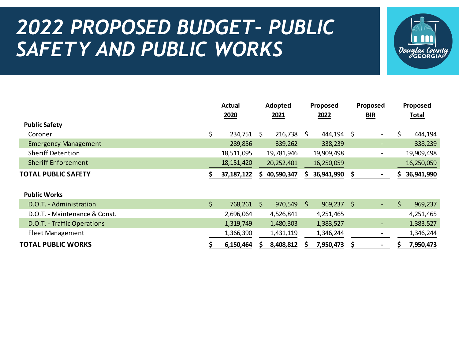### *2022 PROPOSED BUDGET– PUBLIC SAFETY AND PUBLIC WORKS*



|                               |     | Actual       |     | Adopted      | Proposed |            | Proposed |                              | Proposed |              |  |
|-------------------------------|-----|--------------|-----|--------------|----------|------------|----------|------------------------------|----------|--------------|--|
|                               |     | 2020         |     | 2021         |          | 2022       |          | BIR                          |          | <b>Total</b> |  |
| <b>Public Safety</b>          |     |              |     |              |          |            |          |                              |          |              |  |
| Coroner                       | \$  | 234,751      | \$. | 216,738      | \$.      | 444,194    | \$       | $\overline{\phantom{0}}$     | \$       | 444,194      |  |
| <b>Emergency Management</b>   |     | 289,856      |     | 339,262      |          | 338,239    |          | -                            |          | 338,239      |  |
| <b>Sheriff Detention</b>      |     | 18,511,095   |     | 19,781,946   |          | 19,909,498 |          | $\overline{\phantom{a}}$     |          | 19,909,498   |  |
| <b>Sheriff Enforcement</b>    |     | 18, 151, 420 |     | 20,252,401   |          | 16,250,059 |          |                              |          | 16,250,059   |  |
| <b>TOTAL PUBLIC SAFETY</b>    |     | 37, 187, 122 | S.  | 40,590,347   | S        | 36,941,990 | \$       | $\blacksquare$               | S        | 36,941,990   |  |
|                               |     |              |     |              |          |            |          |                              |          |              |  |
| <b>Public Works</b>           |     |              |     |              |          |            |          |                              |          |              |  |
| D.O.T. - Administration       | \$. | 768,261      | \$. | $970,549$ \$ |          | 969,237    | -\$      | $\overline{\phantom{a}}$     | \$       | 969,237      |  |
| D.O.T. - Maintenance & Const. |     | 2,696,064    |     | 4,526,841    |          | 4,251,465  |          |                              |          | 4,251,465    |  |
| D.O.T. - Traffic Operations   |     | 1,319,749    |     | 1,480,303    |          | 1,383,527  |          | ٠                            |          | 1,383,527    |  |
| <b>Fleet Management</b>       |     | 1,366,390    |     | 1,431,119    |          | 1,346,244  |          | $\qquad \qquad \blacksquare$ |          | 1,346,244    |  |
| <b>TOTAL PUBLIC WORKS</b>     |     | 6,150,464    |     | 8,408,812    |          | 7,950,473  | \$       | $\blacksquare$               |          | 7,950,473    |  |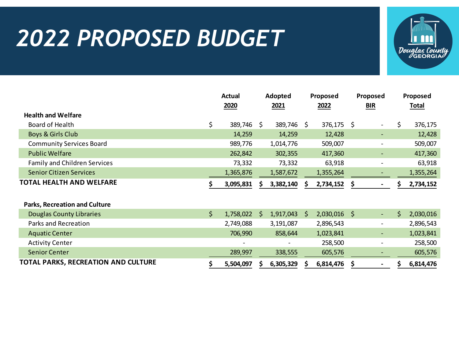## *2022 PROPOSED BUDGET*



|                                      |     | <b>Actual</b> |              | Adopted    |      | Proposed       |            | Proposed                 |    | Proposed     |
|--------------------------------------|-----|---------------|--------------|------------|------|----------------|------------|--------------------------|----|--------------|
|                                      |     | 2020          |              | 2021       | 2022 |                | <b>BIR</b> |                          |    | <b>Total</b> |
| <b>Health and Welfare</b>            |     |               |              |            |      |                |            |                          |    |              |
| Board of Health                      | \$  | 389,746 \$    |              | 389,746 \$ |      | 376,175 \$     |            |                          | \$ | 376,175      |
| Boys & Girls Club                    |     | 14,259        |              | 14,259     |      | 12,428         |            | ٠                        |    | 12,428       |
| <b>Community Services Board</b>      |     | 989,776       |              | 1,014,776  |      | 509,007        |            | $\overline{\phantom{a}}$ |    | 509,007      |
| <b>Public Welfare</b>                |     | 262,842       |              | 302,355    |      | 417,360        |            | -                        |    | 417,360      |
| <b>Family and Children Services</b>  |     | 73,332        |              | 73,332     |      | 63,918         |            |                          |    | 63,918       |
| <b>Senior Citizen Services</b>       |     | 1,365,876     |              | 1,587,672  |      | 1,355,264      |            |                          |    | 1,355,264    |
| <b>TOTAL HEALTH AND WELFARE</b>      |     | 3,095,831     |              | 3,382,140  |      | 2,734,152      | \$         |                          |    | 2,734,152    |
| <b>Parks, Recreation and Culture</b> |     |               |              |            |      |                |            |                          |    |              |
| <b>Douglas County Libraries</b>      | \$  | 1,758,022     | <sub>S</sub> | 1,917,043  | S.   | $2,030,016$ \$ |            | ٠                        | Ś  | 2,030,016    |
| Parks and Recreation                 |     | 2,749,088     |              | 3,191,087  |      | 2,896,543      |            | $\overline{\phantom{a}}$ |    | 2,896,543    |
| <b>Aquatic Center</b>                |     | 706,990       |              | 858,644    |      | 1,023,841      |            |                          |    | 1,023,841    |
| <b>Activity Center</b>               |     |               |              |            |      | 258,500        |            |                          |    | 258,500      |
| <b>Senior Center</b>                 |     | 289,997       |              | 338,555    |      | 605,576        |            |                          |    | 605,576      |
| TOTAL PARKS, RECREATION AND CULTURE  | \$. | 5,504,097     |              | 6,305,329  |      | 6,814,476      | \$         | $\overline{\phantom{a}}$ | \$ | 6,814,476    |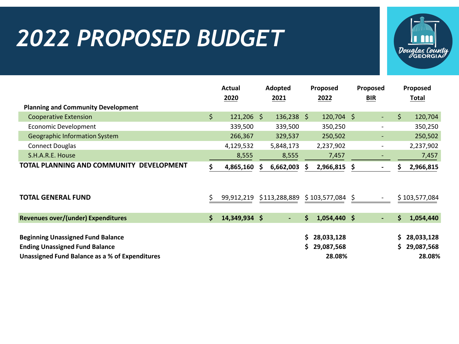# *2022 PROPOSED BUDGET*



|                                                           |     | <b>Actual</b> |    | Adopted       |    | Proposed          |    | Proposed                 |    | Proposed      |
|-----------------------------------------------------------|-----|---------------|----|---------------|----|-------------------|----|--------------------------|----|---------------|
|                                                           |     | 2020          |    | 2021          |    | 2022              |    | <b>BIR</b>               |    | <b>Total</b>  |
| <b>Planning and Community Development</b>                 |     |               |    |               |    |                   |    |                          |    |               |
| <b>Cooperative Extension</b>                              | \$. | $121,206$ \$  |    | $136,238$ \$  |    | $120,704$ \$      |    | $\overline{\phantom{a}}$ | \$ | 120,704       |
| <b>Economic Development</b>                               |     | 339,500       |    | 339,500       |    | 350,250           |    |                          |    | 350,250       |
| <b>Geographic Information System</b>                      |     | 266,367       |    | 329,537       |    | 250,502           |    |                          |    | 250,502       |
| <b>Connect Douglas</b>                                    |     | 4,129,532     |    | 5,848,173     |    | 2,237,902         |    |                          |    | 2,237,902     |
| S.H.A.R.E. House                                          |     | 8,555         |    | 8,555         |    | 7,457             |    |                          |    | 7,457         |
| <b>TOTAL PLANNING AND COMMUNITY</b><br><b>DEVELOPMENT</b> |     | 4,865,160     | S. | 6,662,003     | S. | 2,966,815         | S. |                          |    | 2,966,815     |
|                                                           |     |               |    |               |    |                   |    |                          |    |               |
| <b>TOTAL GENERAL FUND</b>                                 |     | 99,912,219    |    | \$113,288,889 |    | $$103,577,084$ \$ |    |                          |    | \$103,577,084 |
| <b>Revenues over/(under) Expenditures</b>                 | \$  | 14,349,934 \$ |    |               | S  | $1,054,440$ \$    |    | $\blacksquare$           | Ś  | 1,054,440     |
| <b>Beginning Unassigned Fund Balance</b>                  |     |               |    |               | S. | 28,033,128        |    |                          | Ś. | 28,033,128    |
| <b>Ending Unassigned Fund Balance</b>                     |     |               |    |               | S. | 29,087,568        |    |                          | Ś  | 29,087,568    |
| Unassigned Fund Balance as a % of Expenditures            |     |               |    |               |    | 28.08%            |    |                          |    | 28.08%        |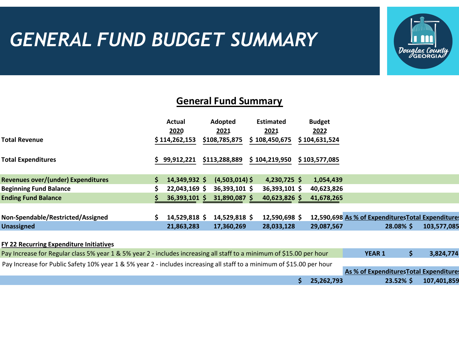### *GENERAL FUND BUDGET SUMMARY*



### **General Fund Summary**

|                                                                                                                        | Actual          | Adopted          | <b>Estimated</b> | <b>Budget</b>                                      |               |                                         |             |
|------------------------------------------------------------------------------------------------------------------------|-----------------|------------------|------------------|----------------------------------------------------|---------------|-----------------------------------------|-------------|
|                                                                                                                        | 2020            | 2021             | 2021             | 2022                                               |               |                                         |             |
| Total Revenue                                                                                                          | \$114,262,153   | \$108,785,875    | \$108,450,675    | \$104,631,524                                      |               |                                         |             |
|                                                                                                                        |                 |                  |                  |                                                    |               |                                         |             |
| <b>Total Expenditures</b>                                                                                              | 99,912,221      | \$113,288,889    | \$104,219,950    | \$103,577,085                                      |               |                                         |             |
|                                                                                                                        |                 |                  |                  |                                                    |               |                                         |             |
| <b>Revenues over/(under) Expenditures</b>                                                                              | 14,349,932 \$   | $(4,503,014)$ \$ | $4,230,725$ \$   | 1,054,439                                          |               |                                         |             |
| <b>Beginning Fund Balance</b>                                                                                          | $22,043,169$ \$ | 36,393,101 \$    | 36,393,101 \$    | 40,623,826                                         |               |                                         |             |
| <b>Ending Fund Balance</b>                                                                                             | 36,393,101 \$   | 31,890,087 \$    | 40,623,826 \$    | 41,678,265                                         |               |                                         |             |
|                                                                                                                        |                 |                  |                  |                                                    |               |                                         |             |
| Non-Spendable/Restricted/Assigned                                                                                      | 14,529,818 \$   | 14,529,818 \$    | 12,590,698 \$    | 12,590,698 As % of Expenditures Total Expenditures |               |                                         |             |
| <b>Unassigned</b>                                                                                                      | 21,863,283      | 17,360,269       | 28,033,128       | 29,087,567                                         |               | 28.08% \$                               | 103,577,085 |
|                                                                                                                        |                 |                  |                  |                                                    |               |                                         |             |
| FY 22 Recurring Expenditure Initiatives                                                                                |                 |                  |                  |                                                    |               |                                         |             |
| Pay Increase for Regular class 5% year 1 & 5% year 2 - includes increasing all staff to a minimum of \$15.00 per hour  |                 |                  |                  |                                                    | <b>YEAR 1</b> | \$                                      | 3,824,774   |
| Pay Increase for Public Safety 10% year 1 & 5% year 2 - includes increasing all staff to a minimum of \$15.00 per hour |                 |                  |                  |                                                    |               |                                         |             |
|                                                                                                                        |                 |                  |                  |                                                    |               | As % of Expenditures Total Expenditures |             |
|                                                                                                                        |                 |                  |                  | \$<br>25.262.793                                   |               | $23.52\%$ \$                            | 107.401.859 |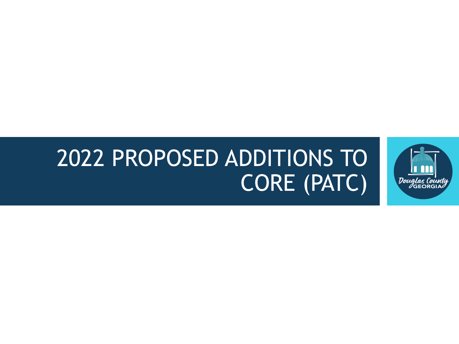## 2022 PROPOSED ADDITIONS TO CORE (PATC)

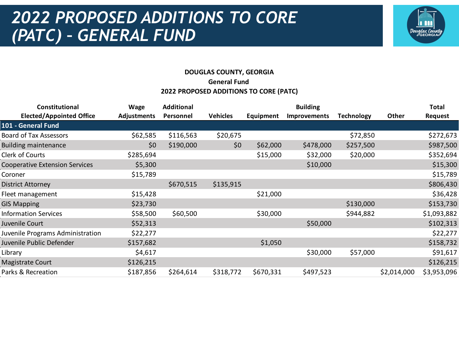### *2022 PROPOSED ADDITIONS TO CORE (PATC) – GENERAL FUND*



### **DOUGLAS COUNTY, GEORGIA General Fund 2022 PROPOSED ADDITIONS TO CORE (PATC)**

| <b>Wage</b>        | <b>Additional</b> |                 |                  | <b>Building</b>     |                   |             | <b>Total</b>   |
|--------------------|-------------------|-----------------|------------------|---------------------|-------------------|-------------|----------------|
| <b>Adjustments</b> | Personnel         | <b>Vehicles</b> | <b>Equipment</b> | <b>Improvements</b> | <b>Technology</b> | Other       | <b>Request</b> |
|                    |                   |                 |                  |                     |                   |             |                |
| \$62,585           | \$116,563         | \$20,675        |                  |                     | \$72,850          |             | \$272,673      |
| \$0                | \$190,000         | \$0             | \$62,000         | \$478,000           | \$257,500         |             | \$987,500      |
| \$285,694          |                   |                 | \$15,000         | \$32,000            | \$20,000          |             | \$352,694      |
| \$5,300            |                   |                 |                  | \$10,000            |                   |             | \$15,300       |
| \$15,789           |                   |                 |                  |                     |                   |             | \$15,789       |
|                    | \$670,515         | \$135,915       |                  |                     |                   |             | \$806,430      |
| \$15,428           |                   |                 | \$21,000         |                     |                   |             | \$36,428       |
| \$23,730           |                   |                 |                  |                     | \$130,000         |             | \$153,730      |
| \$58,500           | \$60,500          |                 | \$30,000         |                     | \$944,882         |             | \$1,093,882    |
| \$52,313           |                   |                 |                  | \$50,000            |                   |             | \$102,313      |
| \$22,277           |                   |                 |                  |                     |                   |             | \$22,277       |
| \$157,682          |                   |                 | \$1,050          |                     |                   |             | \$158,732      |
| \$4,617            |                   |                 |                  | \$30,000            | \$57,000          |             | \$91,617       |
| \$126,215          |                   |                 |                  |                     |                   |             | \$126,215      |
| \$187,856          | \$264,614         | \$318,772       | \$670,331        | \$497,523           |                   | \$2,014,000 | \$3,953,096    |
|                    |                   |                 |                  |                     |                   |             |                |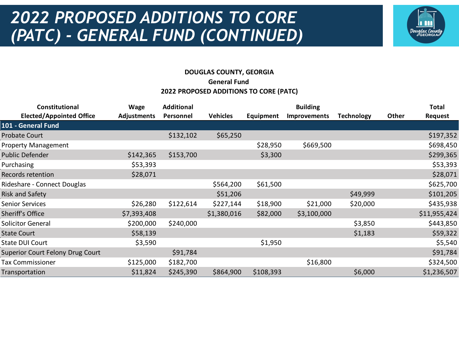### *2022 PROPOSED ADDITIONS TO CORE (PATC) - GENERAL FUND (CONTINUED)*



### **DOUGLAS COUNTY, GEORGIA General Fund 2022 PROPOSED ADDITIONS TO CORE (PATC)**

| Constitutional                   | Wage               | <b>Additional</b> |                 |                  | <b>Building</b>     |                   |       | <b>Total</b>   |
|----------------------------------|--------------------|-------------------|-----------------|------------------|---------------------|-------------------|-------|----------------|
| <b>Elected/Appointed Office</b>  | <b>Adjustments</b> | Personnel         | <b>Vehicles</b> | <b>Equipment</b> | <b>Improvements</b> | <b>Technology</b> | Other | <b>Request</b> |
| 101 - General Fund               |                    |                   |                 |                  |                     |                   |       |                |
| <b>Probate Court</b>             |                    | \$132,102         | \$65,250        |                  |                     |                   |       | \$197,352      |
| <b>Property Management</b>       |                    |                   |                 | \$28,950         | \$669,500           |                   |       | \$698,450      |
| Public Defender                  | \$142,365          | \$153,700         |                 | \$3,300          |                     |                   |       | \$299,365      |
| Purchasing                       | \$53,393           |                   |                 |                  |                     |                   |       | \$53,393       |
| Records retention                | \$28,071           |                   |                 |                  |                     |                   |       | \$28,071       |
| Rideshare - Connect Douglas      |                    |                   | \$564,200       | \$61,500         |                     |                   |       | \$625,700      |
| Risk and Safety                  |                    |                   | \$51,206        |                  |                     | \$49,999          |       | \$101,205      |
| <b>Senior Services</b>           | \$26,280           | \$122,614         | \$227,144       | \$18,900         | \$21,000            | \$20,000          |       | \$435,938      |
| Sheriff's Office                 | \$7,393,408        |                   | \$1,380,016     | \$82,000         | \$3,100,000         |                   |       | \$11,955,424   |
| <b>Solicitor General</b>         | \$200,000          | \$240,000         |                 |                  |                     | \$3,850           |       | \$443,850      |
| <b>State Court</b>               | \$58,139           |                   |                 |                  |                     | \$1,183           |       | \$59,322       |
| State DUI Court                  | \$3,590            |                   |                 | \$1,950          |                     |                   |       | \$5,540        |
| Superior Court Felony Drug Court |                    | \$91,784          |                 |                  |                     |                   |       | \$91,784       |
| <b>Tax Commissioner</b>          | \$125,000          | \$182,700         |                 |                  | \$16,800            |                   |       | \$324,500      |
| Transportation                   | \$11,824           | \$245,390         | \$864,900       | \$108,393        |                     | \$6,000           |       | \$1,236,507    |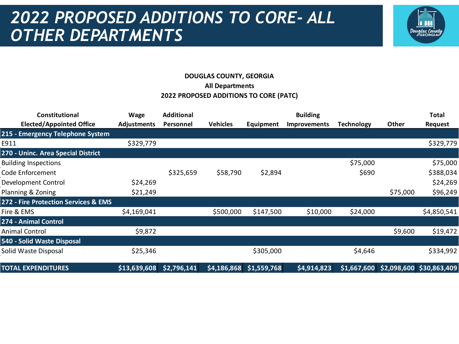### *2022 PROPOSED ADDITIONS TO CORE- ALL OTHER DEPARTMENTS*



### **DOUGLAS COUNTY, GEORGIA All Departments 2022 PROPOSED ADDITIONS TO CORE (PATC)**

| <b>Constitutional</b>                           | <b>Wage</b>        | <b>Additional</b> |                 |                           | <b>Building</b>     |            |          | <b>Total</b>                          |
|-------------------------------------------------|--------------------|-------------------|-----------------|---------------------------|---------------------|------------|----------|---------------------------------------|
| <b>Elected/Appointed Office</b>                 | <b>Adjustments</b> | Personnel         | <b>Vehicles</b> | Equipment                 | <b>Improvements</b> | Technology | Other    | Request                               |
| 215 - Emergency Telephone System                |                    |                   |                 |                           |                     |            |          |                                       |
| E911                                            | \$329,779          |                   |                 |                           |                     |            |          | \$329,779                             |
| 270 - Uninc. Area Special District              |                    |                   |                 |                           |                     |            |          |                                       |
| <b>Building Inspections</b>                     |                    |                   |                 |                           |                     | \$75,000   |          | \$75,000                              |
| Code Enforcement                                |                    | \$325,659         | \$58,790        | \$2,894                   |                     | \$690      |          | \$388,034                             |
| Development Control                             | \$24,269           |                   |                 |                           |                     |            |          | \$24,269                              |
| Planning & Zoning                               | \$21,249           |                   |                 |                           |                     |            | \$75,000 | \$96,249                              |
| <b>272 - Fire Protection Services &amp; EMS</b> |                    |                   |                 |                           |                     |            |          |                                       |
| Fire & EMS                                      | \$4,169,041        |                   | \$500,000       | \$147,500                 | \$10,000            | \$24,000   |          | \$4,850,541                           |
| 274 - Animal Control                            |                    |                   |                 |                           |                     |            |          |                                       |
| <b>Animal Control</b>                           | \$9,872            |                   |                 |                           |                     |            | \$9,600  | \$19,472                              |
| 540 - Solid Waste Disposal                      |                    |                   |                 |                           |                     |            |          |                                       |
| Solid Waste Disposal                            | \$25,346           |                   |                 | \$305,000                 |                     | \$4,646    |          | \$334,992                             |
| <b>TOTAL EXPENDITURES</b>                       | \$13,639,608       | \$2,796,141       |                 | $$4,186,868$ $$1,559,768$ | $\sqrt{54,914,823}$ |            |          | $$1,667,600$ \$2,098,600 \$30,863,409 |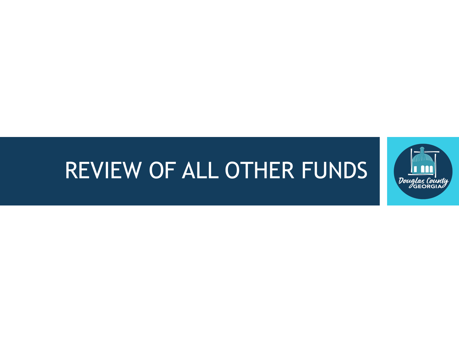## REVIEW OF ALL OTHER FUNDS

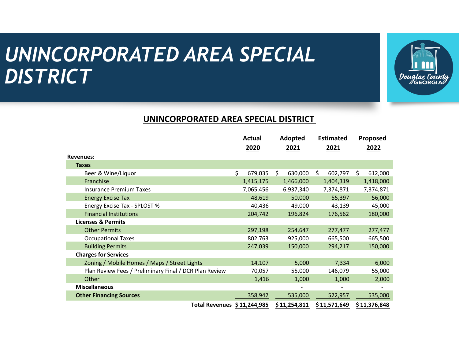### *UNINCORPORATED AREA SPECIAL DISTRICT*



#### **UNINCORPORATED AREA SPECIAL DISTRICT**

|                                                        | Actual<br>2020 | Adopted<br>2021 | <b>Estimated</b><br>2021 | Proposed<br>2022 |
|--------------------------------------------------------|----------------|-----------------|--------------------------|------------------|
| <b>Revenues:</b>                                       |                |                 |                          |                  |
| <b>Taxes</b>                                           |                |                 |                          |                  |
| Beer & Wine/Liquor                                     | \$<br>679,035  | Ŝ.<br>630,000   | \$<br>602,797            | Ś.<br>612,000    |
| Franchise                                              | 1,415,175      | 1,466,000       | 1,404,319                | 1,418,000        |
| <b>Insurance Premium Taxes</b>                         | 7,065,456      | 6,937,340       | 7,374,871                | 7,374,871        |
| <b>Energy Excise Tax</b>                               | 48,619         | 50,000          | 55,397                   | 56,000           |
| Energy Excise Tax - SPLOST %                           | 40,436         | 49,000          | 43,139                   | 45,000           |
| <b>Financial Institutions</b>                          | 204,742        | 196,824         | 176,562                  | 180,000          |
| <b>Licenses &amp; Permits</b>                          |                |                 |                          |                  |
| <b>Other Permits</b>                                   | 297,198        | 254,647         | 277,477                  | 277,477          |
| <b>Occupational Taxes</b>                              | 802,763        | 925,000         | 665,500                  | 665,500          |
| <b>Building Permits</b>                                | 247,039        | 150,000         | 294,217                  | 150,000          |
| <b>Charges for Services</b>                            |                |                 |                          |                  |
| Zoning / Mobile Homes / Maps / Street Lights           | 14,107         | 5,000           | 7,334                    | 6,000            |
| Plan Review Fees / Preliminary Final / DCR Plan Review | 70,057         | 55,000          | 146,079                  | 55,000           |
| Other                                                  | 1,416          | 1,000           | 1,000                    | 2,000            |
| <b>Miscellaneous</b>                                   |                |                 |                          |                  |
| <b>Other Financing Sources</b>                         | 358,942        | 535,000         | 522,957                  | 535,000          |
| Total Revenues \$11,244,985                            |                | \$11,254,811    | \$11,571,649             | \$11,376,848     |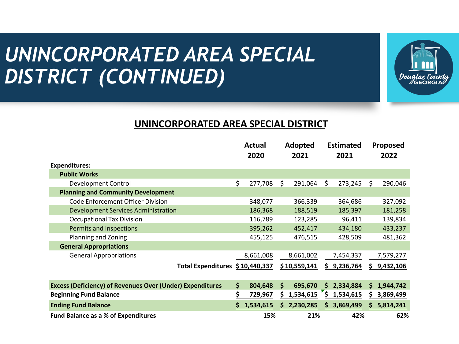### *UNINCORPORATED AREA SPECIAL DISTRICT (CONTINUED)*



### **UNINCORPORATED AREA SPECIAL DISTRICT**

|                                                                  | <b>Actual</b><br>2020 |    | Adopted<br>2021 |     | <b>Estimated</b><br>2021 |    | Proposed<br>2022 |
|------------------------------------------------------------------|-----------------------|----|-----------------|-----|--------------------------|----|------------------|
| <b>Expenditures:</b>                                             |                       |    |                 |     |                          |    |                  |
| <b>Public Works</b>                                              |                       |    |                 |     |                          |    |                  |
| <b>Development Control</b>                                       | \$<br>277,708         | \$ | 291,064         | \$  | 273,245                  | Ŝ. | 290,046          |
| <b>Planning and Community Development</b>                        |                       |    |                 |     |                          |    |                  |
| <b>Code Enforcement Officer Division</b>                         | 348,077               |    | 366,339         |     | 364,686                  |    | 327,092          |
| <b>Development Services Administration</b>                       | 186,368               |    | 188,519         |     | 185,397                  |    | 181,258          |
| <b>Occupational Tax Division</b>                                 | 116,789               |    | 123,285         |     | 96,411                   |    | 139,834          |
| Permits and Inspections                                          | 395,262               |    | 452,417         |     | 434,180                  |    | 433,237          |
| Planning and Zoning                                              | 455,125               |    | 476,515         |     | 428,509                  |    | 481,362          |
| <b>General Appropriations</b>                                    |                       |    |                 |     |                          |    |                  |
| <b>General Appropriations</b>                                    | 8,661,008             |    | 8,661,002       |     | 7,454,337                |    | 7,579,277        |
| Total Expenditures \$10,440,337                                  |                       |    | \$10,559,141    | \$. | 9,236,764                | S. | 9,432,106        |
| <b>Excess (Deficiency) of Revenues Over (Under) Expenditures</b> | \$<br>804,648         | \$ | 695,670         | S.  | 2,334,884                | S. | 1,944,742        |
|                                                                  |                       | Ś. | 1,534,615       | \$  |                          |    |                  |
| <b>Beginning Fund Balance</b>                                    | 729,967               |    |                 |     | 1,534,615                | S  | 3,869,499        |
| <b>Ending Fund Balance</b>                                       | 1,534,615             |    | 2,230,285       | S.  | 3,869,499                | S. | 5,814,241        |
| <b>Fund Balance as a % of Expenditures</b>                       | 15%                   |    | 21%             |     | 42%                      |    | 62%              |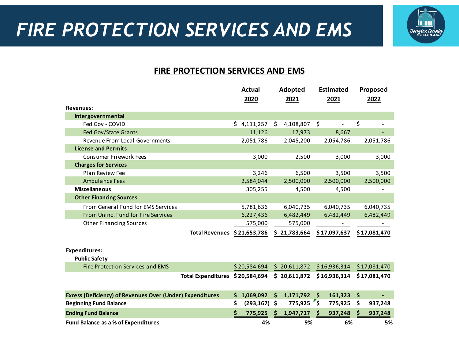

### **FIRE PROTECTION SERVICES AND EMS**

|                                                                  | <b>Actual</b>    | <b>Adopted</b>  | <b>Estimated</b>        | Proposed      |
|------------------------------------------------------------------|------------------|-----------------|-------------------------|---------------|
|                                                                  | 2020             | 2021            | 2021                    | 2022          |
| <b>Revenues:</b>                                                 |                  |                 |                         |               |
| Intergovernmental                                                |                  |                 |                         |               |
| Fed Gov - COVID                                                  | \$4,111,257      | \$<br>4,108,807 | \$                      | \$            |
| <b>Fed Gov/State Grants</b>                                      | 11,126           | 17,973          | 8,667                   |               |
| Revenue From Local Governments                                   | 2,051,786        | 2,045,200       | 2,054,786               | 2,051,786     |
| <b>License and Permits</b>                                       |                  |                 |                         |               |
| <b>Consumer Firework Fees</b>                                    | 3,000            | 2,500           | 3,000                   | 3,000         |
| <b>Charges for Services</b>                                      |                  |                 |                         |               |
| Plan Review Fee                                                  | 3,246            | 6,500           | 3,500                   | 3,500         |
| <b>Ambulance Fees</b>                                            | 2,584,044        | 2,500,000       | 2,500,000               | 2,500,000     |
| <b>Miscellaneous</b>                                             | 305,255          | 4,500           | 4,500                   |               |
| <b>Other Financing Sources</b>                                   |                  |                 |                         |               |
| From General Fund for EMS Services                               | 5,781,636        | 6,040,735       | 6,040,735               | 6,040,735     |
| From Uninc. Fund for Fire Services                               | 6,227,436        | 6,482,449       | 6,482,449               | 6,482,449     |
| <b>Other Financing Sources</b>                                   | 575,000          | 575,000         |                         |               |
| <b>Total Revenues</b>                                            | \$21,653,786     | \$21,783,664    | \$17,097,637            | \$17,081,470  |
|                                                                  |                  |                 |                         |               |
| <b>Expenditures:</b>                                             |                  |                 |                         |               |
| <b>Public Safety</b>                                             |                  |                 |                         |               |
| <b>Fire Protection Services and EMS</b>                          | \$20,584,694     | \$20,611,872    | \$16,936,314            | \$17,081,470  |
| <b>Total Expenditures</b>                                        | \$20,584,694     | \$20,611,872    | \$16,936,314            | \$17,081,470  |
|                                                                  |                  |                 |                         |               |
| <b>Excess (Deficiency) of Revenues Over (Under) Expenditures</b> | 1,069,092<br>S.  | 1,171,792<br>\$ | 161,323<br>\$           | \$            |
| <b>Beginning Fund Balance</b>                                    | \$<br>(293, 167) | 775,925<br>\$   | $\mathsf{s}$<br>775,925 | \$<br>937,248 |
| <b>Ending Fund Balance</b>                                       | Ś<br>775,925     | 1,947,717       | 937,248                 | 937,248<br>Ŝ  |
| Fund Balance as a % of Expenditures                              | 4%               | 9%              | 6%                      | 5%            |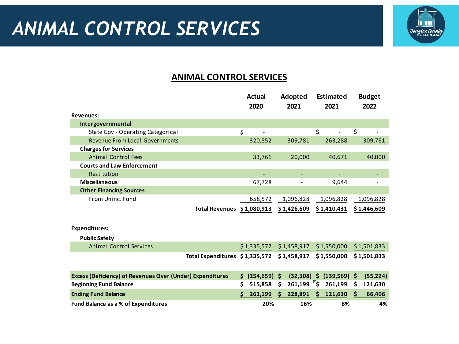

### **ANIMAL CONTROL SERVICES**

|                                                                  |                                | Actual<br>2020   | Adopted<br>2021 | <b>Estimated</b><br>2021             | <b>Budget</b><br>2022 |
|------------------------------------------------------------------|--------------------------------|------------------|-----------------|--------------------------------------|-----------------------|
| <b>Revenues:</b>                                                 |                                |                  |                 |                                      |                       |
| Intergovernmental                                                |                                |                  |                 |                                      |                       |
| State Gov - Operating Categorical                                |                                | \$               |                 | \$<br>$\overline{\phantom{0}}$       | \$                    |
| <b>Revenue From Local Governments</b>                            |                                | 320,852          | 309,781         | 263,288                              | 309,781               |
| <b>Charges for Services</b>                                      |                                |                  |                 |                                      |                       |
| <b>Animal Control Fees</b>                                       |                                | 33,761           | 20,000          | 40,671                               | 40,000                |
| <b>Courts and Law Enforcement</b>                                |                                |                  |                 |                                      |                       |
| Restitution                                                      |                                |                  |                 |                                      |                       |
| <b>Miscellaneous</b>                                             |                                | 67,728           |                 | 9,644                                |                       |
| <b>Other Financing Sources</b>                                   |                                |                  |                 |                                      |                       |
| From Uninc. Fund                                                 |                                | 658,572          | 1,096,828       | 1,096,828                            | 1,096,828             |
|                                                                  | <b>Total Revenues</b>          | \$1,080,913      | \$1,426,609     | \$1,410,431                          | \$1,446,609           |
|                                                                  |                                |                  |                 |                                      |                       |
| <b>Expenditures:</b>                                             |                                |                  |                 |                                      |                       |
| <b>Public Safety</b>                                             |                                |                  |                 |                                      |                       |
| <b>Animal Control Services</b>                                   |                                | \$1,335,572      | \$1,458,917     | \$1,550,000                          | \$1,501,833           |
|                                                                  | Total Expenditures \$1,335,572 |                  | \$1,458,917     | \$1,550,000                          | \$1,501,833           |
|                                                                  |                                |                  |                 |                                      |                       |
| <b>Excess (Deficiency) of Revenues Over (Under) Expenditures</b> |                                | (254, 659)<br>\$ | (32, 308)<br>Ŝ  | \$<br>$(139,569)$ \$                 | (55, 224)             |
| <b>Beginning Fund Balance</b>                                    |                                | \$<br>515,858    | 261,199<br>Ś    | $\mathbf{r}_{\mathsf{S}}$<br>261,199 | S<br>121,630          |
| <b>Ending Fund Balance</b>                                       |                                | Ś<br>261,199     | 228,891<br>s    | 121,630<br>S                         | 66,406                |
| Fund Balance as a % of Expenditures                              |                                | 20%              | 16%             | 8%                                   | 4%                    |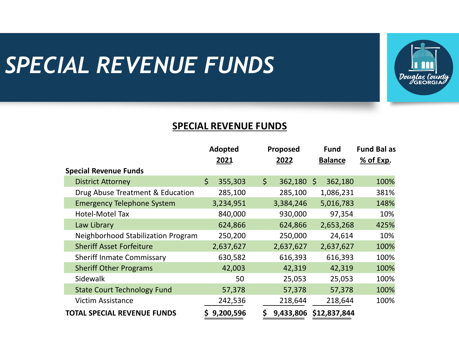# *SPECIAL REVENUE FUNDS*



### **SPECIAL REVENUE FUNDS**

|                                    | Adopted<br>2021 | Proposed<br>2022   | <b>Fund</b><br><b>Balance</b> | <b>Fund Bal as</b><br>% of Exp. |
|------------------------------------|-----------------|--------------------|-------------------------------|---------------------------------|
| <b>Special Revenue Funds</b>       |                 |                    |                               |                                 |
| <b>District Attorney</b>           | \$<br>355,303   | \$<br>$362,180$ \$ | 362,180                       | 100%                            |
| Drug Abuse Treatment & Education   | 285,100         | 285,100            | 1,086,231                     | 381%                            |
| <b>Emergency Telephone System</b>  | 3,234,951       | 3,384,246          | 5,016,783                     | 148%                            |
| Hotel-Motel Tax                    | 840,000         | 930,000            | 97,354                        | 10%                             |
| Law Library                        | 624,866         | 624,866            | 2,653,268                     | 425%                            |
| Neighborhood Stabilization Program | 250,200         | 250,000            | 24,614                        | 10%                             |
| <b>Sheriff Asset Forfeiture</b>    | 2,637,627       | 2,637,627          | 2,637,627                     | 100%                            |
| <b>Sheriff Inmate Commissary</b>   | 630,582         | 616,393            | 616,393                       | 100%                            |
| <b>Sheriff Other Programs</b>      | 42,003          | 42,319             | 42,319                        | 100%                            |
| Sidewalk                           | 50              | 25,053             | 25,053                        | 100%                            |
| <b>State Court Technology Fund</b> | 57,378          | 57,378             | 57,378                        | 100%                            |
| <b>Victim Assistance</b>           | 242,536         | 218,644            | 218,644                       | 100%                            |
| <b>TOTAL SPECIAL REVENUE FUNDS</b> | 9,200,596       | 9,433,806          | \$12,837,844                  |                                 |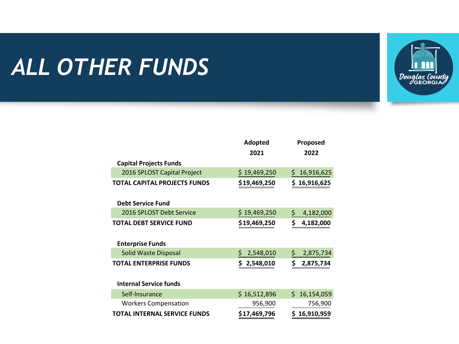# *ALL OTHER FUNDS*



|                                     | Adopted          | Proposed         |  |  |
|-------------------------------------|------------------|------------------|--|--|
|                                     | 2021             | 2022             |  |  |
| <b>Capital Projects Funds</b>       |                  |                  |  |  |
| 2016 SPLOST Capital Project         | \$19,469,250     | 16,916,625<br>\$ |  |  |
| <b>TOTAL CAPITAL PROJECTS FUNDS</b> | \$19,469,250     | \$<br>16,916,625 |  |  |
| <b>Debt Service Fund</b>            |                  |                  |  |  |
| 2016 SPLOST Debt Service            | \$19,469,250     | \$.<br>4,182,000 |  |  |
| TOTAL DEBT SERVICE FUND             | \$19,469,250     | \$<br>4,182,000  |  |  |
| <b>Enterprise Funds</b>             |                  |                  |  |  |
| Solid Waste Disposal                | \$.<br>2,548,010 | 2,875,734<br>\$. |  |  |
| <b>TOTAL ENTERPRISE FUNDS</b>       | \$<br>2,548,010  | \$<br>2,875,734  |  |  |
| <b>Internal Service funds</b>       |                  |                  |  |  |
| Self-Insurance                      | \$16,512,896     | \$16,154,059     |  |  |
| <b>Workers Compensation</b>         | 956,900          | 756,900          |  |  |
| <b>TOTAL INTERNAL SERVICE FUNDS</b> | \$17,469,796     | 16,910,959<br>S. |  |  |